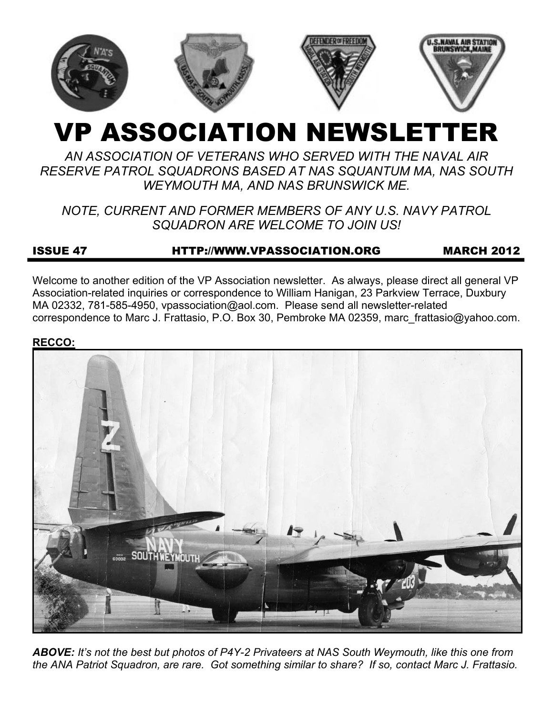

# VP ASSOCIATION NEWSLETTER

# *AN ASSOCIATION OF VETERANS WHO SERVED WITH THE NAVAL AIR RESERVE PATROL SQUADRONS BASED AT NAS SQUANTUM MA, NAS SOUTH WEYMOUTH MA, AND NAS BRUNSWICK ME.*

# *NOTE, CURRENT AND FORMER MEMBERS OF ANY U.S. NAVY PATROL SQUADRON ARE WELCOME TO JOIN US!*

# ISSUE 47 HTTP://WWW.VPASSOCIATION.ORG MARCH 2012

Welcome to another edition of the VP Association newsletter. As always, please direct all general VP Association-related inquiries or correspondence to William Hanigan, 23 Parkview Terrace, Duxbury MA 02332, 781-585-4950, vpassociation@aol.com. Please send all newsletter-related correspondence to Marc J. Frattasio, P.O. Box 30, Pembroke MA 02359, marc\_frattasio@yahoo.com.

#### **RECCO:**



*ABOVE: It's not the best but photos of P4Y-2 Privateers at NAS South Weymouth, like this one from the ANA Patriot Squadron, are rare. Got something similar to share? If so, contact Marc J. Frattasio.*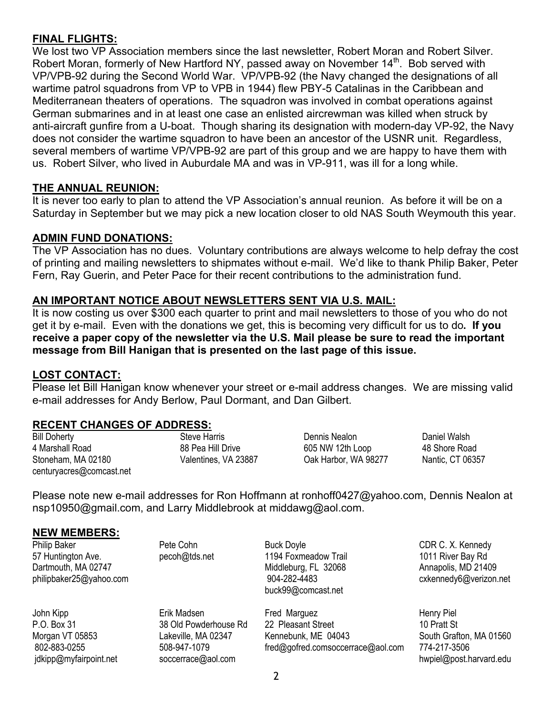# **FINAL FLIGHTS:**

We lost two VP Association members since the last newsletter, Robert Moran and Robert Silver. Robert Moran, formerly of New Hartford NY, passed away on November 14<sup>th</sup>. Bob served with VP/VPB-92 during the Second World War. VP/VPB-92 (the Navy changed the designations of all wartime patrol squadrons from VP to VPB in 1944) flew PBY-5 Catalinas in the Caribbean and Mediterranean theaters of operations. The squadron was involved in combat operations against German submarines and in at least one case an enlisted aircrewman was killed when struck by anti-aircraft gunfire from a U-boat. Though sharing its designation with modern-day VP-92, the Navy does not consider the wartime squadron to have been an ancestor of the USNR unit. Regardless, several members of wartime VP/VPB-92 are part of this group and we are happy to have them with us. Robert Silver, who lived in Auburdale MA and was in VP-911, was ill for a long while.

## **THE ANNUAL REUNION:**

It is never too early to plan to attend the VP Association's annual reunion. As before it will be on a Saturday in September but we may pick a new location closer to old NAS South Weymouth this year.

## **ADMIN FUND DONATIONS:**

The VP Association has no dues. Voluntary contributions are always welcome to help defray the cost of printing and mailing newsletters to shipmates without e-mail. We'd like to thank Philip Baker, Peter Fern, Ray Guerin, and Peter Pace for their recent contributions to the administration fund.

## **AN IMPORTANT NOTICE ABOUT NEWSLETTERS SENT VIA U.S. MAIL:**

It is now costing us over \$300 each quarter to print and mail newsletters to those of you who do not get it by e-mail. Even with the donations we get, this is becoming very difficult for us to do**. If you receive a paper copy of the newsletter via the U.S. Mail please be sure to read the important message from Bill Hanigan that is presented on the last page of this issue.** 

#### **LOST CONTACT:**

Please let Bill Hanigan know whenever your street or e-mail address changes. We are missing valid e-mail addresses for Andy Berlow, Paul Dormant, and Dan Gilbert.

#### **RECENT CHANGES OF ADDRESS:**

Bill Doherty 4 Marshall Road Stoneham, MA 02180 centuryacres@comcast.net Steve Harris 88 Pea Hill Drive Valentines, VA 23887 Dennis Nealon 605 NW 12th Loop Oak Harbor, WA 98277 Daniel Walsh 48 Shore Road Nantic, CT 06357

Please note new e-mail addresses for Ron Hoffmann at ronhoff0427@yahoo.com, Dennis Nealon at nsp10950@gmail.com, and Larry Middlebrook at middawg@aol.com.

#### **NEW MEMBERS:**

Philip Baker 57 Huntington Ave. Dartmouth, MA 02747 philipbaker25@yahoo.com

John Kipp P.O. Box 31 Morgan VT 05853 802-883-0255 jdkipp@myfairpoint.net Pete Cohn pecoh@tds.net

Erik Madsen 38 Old Powderhouse Rd Lakeville, MA 02347 508-947-1079 soccerrace@aol.com

Buck Doyle 1194 Foxmeadow Trail Middleburg, FL 32068 904-282-4483 buck99@comcast.net

Fred Marguez 22 Pleasant Street Kennebunk, ME 04043 fred@gofred.comsoccerrace@aol.com CDR C. X. Kennedy 1011 River Bay Rd Annapolis, MD 21409 cxkennedy6@verizon.net

Henry Piel 10 Pratt St South Grafton, MA 01560 774-217-3506 hwpiel@post.harvard.edu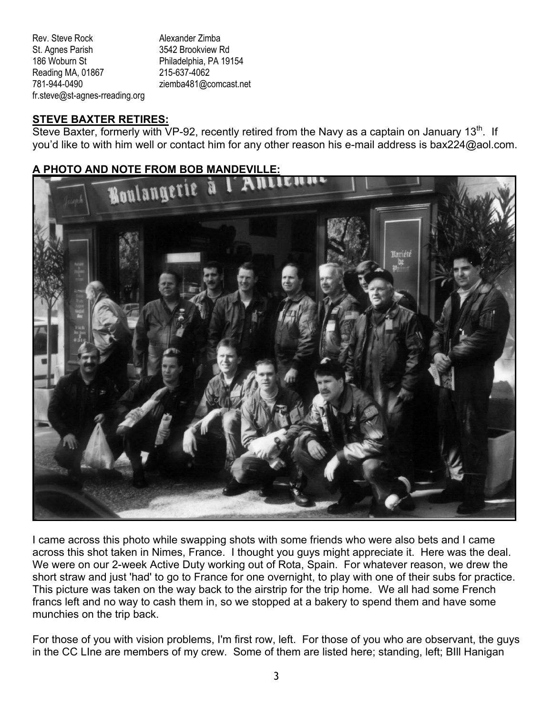Rev. Steve Rock St. Agnes Parish 186 Woburn St Reading MA, 01867 781-944-0490 fr.steve@st-agnes-rreading.org Alexander Zimba 3542 Brookview Rd Philadelphia, PA 19154 215-637-4062 ziemba481@comcast.net

## **STEVE BAXTER RETIRES:**

Steve Baxter, formerly with VP-92, recently retired from the Navy as a captain on January 13 $^{\text{th}}$ . If you'd like to with him well or contact him for any other reason his e-mail address is bax224@aol.com.

## **A PHOTO AND NOTE FROM BOB MANDEVILLE:**



I came across this photo while swapping shots with some friends who were also bets and I came across this shot taken in Nimes, France. I thought you guys might appreciate it. Here was the deal. We were on our 2-week Active Duty working out of Rota, Spain. For whatever reason, we drew the short straw and just 'had' to go to France for one overnight, to play with one of their subs for practice. This picture was taken on the way back to the airstrip for the trip home. We all had some French francs left and no way to cash them in, so we stopped at a bakery to spend them and have some munchies on the trip back.

For those of you with vision problems, I'm first row, left. For those of you who are observant, the guys in the CC LIne are members of my crew. Some of them are listed here; standing, left; BIll Hanigan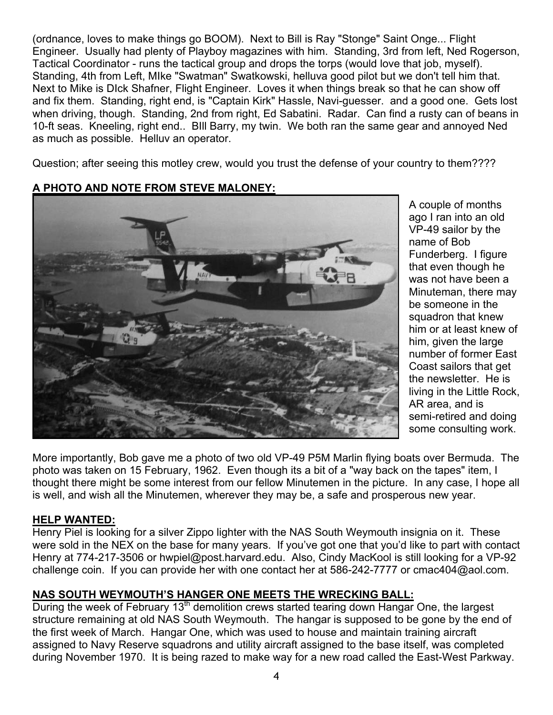(ordnance, loves to make things go BOOM). Next to Bill is Ray "Stonge" Saint Onge... Flight Engineer. Usually had plenty of Playboy magazines with him. Standing, 3rd from left, Ned Rogerson, Tactical Coordinator - runs the tactical group and drops the torps (would love that job, myself). Standing, 4th from Left, MIke "Swatman" Swatkowski, helluva good pilot but we don't tell him that. Next to Mike is DIck Shafner, Flight Engineer. Loves it when things break so that he can show off and fix them. Standing, right end, is "Captain Kirk" Hassle, Navi-guesser. and a good one. Gets lost when driving, though. Standing, 2nd from right, Ed Sabatini. Radar. Can find a rusty can of beans in 10-ft seas. Kneeling, right end.. BIll Barry, my twin. We both ran the same gear and annoyed Ned as much as possible. Helluv an operator.

Question; after seeing this motley crew, would you trust the defense of your country to them????

## **A PHOTO AND NOTE FROM STEVE MALONEY:**



A couple of months ago I ran into an old VP-49 sailor by the name of Bob Funderberg. I figure that even though he was not have been a Minuteman, there may be someone in the squadron that knew him or at least knew of him, given the large number of former East Coast sailors that get the newsletter. He is living in the Little Rock, AR area, and is semi-retired and doing some consulting work.

More importantly, Bob gave me a photo of two old VP-49 P5M Marlin flying boats over Bermuda. The photo was taken on 15 February, 1962. Even though its a bit of a "way back on the tapes" item, I thought there might be some interest from our fellow Minutemen in the picture. In any case, I hope all is well, and wish all the Minutemen, wherever they may be, a safe and prosperous new year.

#### **HELP WANTED:**

Henry Piel is looking for a silver Zippo lighter with the NAS South Weymouth insignia on it. These were sold in the NEX on the base for many years. If you've got one that you'd like to part with contact Henry at 774-217-3506 or hwpiel@post.harvard.edu. Also, Cindy MacKool is still looking for a VP-92 challenge coin. If you can provide her with one contact her at 586-242-7777 or cmac404@aol.com.

# **NAS SOUTH WEYMOUTH'S HANGER ONE MEETS THE WRECKING BALL:**

During the week of February 13<sup>th</sup> demolition crews started tearing down Hangar One, the largest structure remaining at old NAS South Weymouth. The hangar is supposed to be gone by the end of the first week of March. Hangar One, which was used to house and maintain training aircraft assigned to Navy Reserve squadrons and utility aircraft assigned to the base itself, was completed during November 1970. It is being razed to make way for a new road called the East-West Parkway.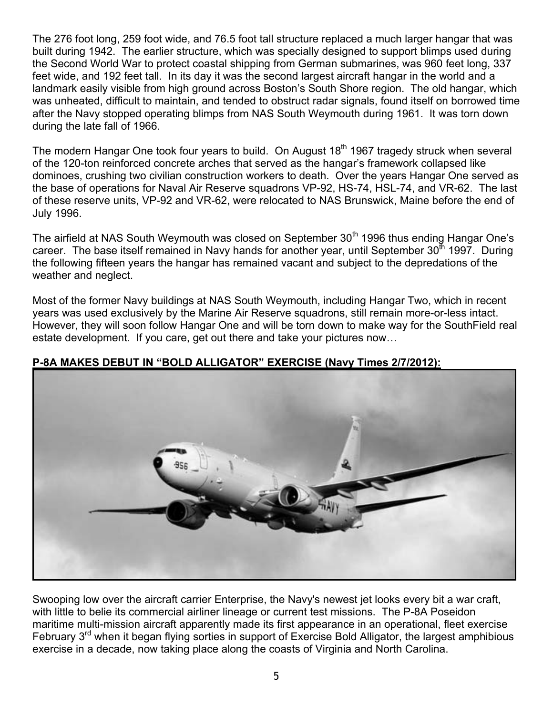The 276 foot long, 259 foot wide, and 76.5 foot tall structure replaced a much larger hangar that was built during 1942. The earlier structure, which was specially designed to support blimps used during the Second World War to protect coastal shipping from German submarines, was 960 feet long, 337 feet wide, and 192 feet tall. In its day it was the second largest aircraft hangar in the world and a landmark easily visible from high ground across Boston's South Shore region. The old hangar, which was unheated, difficult to maintain, and tended to obstruct radar signals, found itself on borrowed time after the Navy stopped operating blimps from NAS South Weymouth during 1961. It was torn down during the late fall of 1966.

The modern Hangar One took four years to build. On August  $18<sup>th</sup>$  1967 tragedy struck when several of the 120-ton reinforced concrete arches that served as the hangar's framework collapsed like dominoes, crushing two civilian construction workers to death. Over the years Hangar One served as the base of operations for Naval Air Reserve squadrons VP-92, HS-74, HSL-74, and VR-62. The last of these reserve units, VP-92 and VR-62, were relocated to NAS Brunswick, Maine before the end of July 1996.

The airfield at NAS South Weymouth was closed on September 30<sup>th</sup> 1996 thus ending Hangar One's career. The base itself remained in Navy hands for another year, until September  $30<sup>th</sup>$  1997. During the following fifteen years the hangar has remained vacant and subject to the depredations of the weather and neglect.

Most of the former Navy buildings at NAS South Weymouth, including Hangar Two, which in recent years was used exclusively by the Marine Air Reserve squadrons, still remain more-or-less intact. However, they will soon follow Hangar One and will be torn down to make way for the SouthField real estate development. If you care, get out there and take your pictures now…



# **P-8A MAKES DEBUT IN "BOLD ALLIGATOR" EXERCISE (Navy Times 2/7/2012):**

Swooping low over the aircraft carrier Enterprise, the Navy's newest jet looks every bit a war craft, with little to belie its commercial airliner lineage or current test missions. The P-8A Poseidon maritime multi-mission aircraft apparently made its first appearance in an operational, fleet exercise February 3<sup>rd</sup> when it began flying sorties in support of Exercise Bold Alligator, the largest amphibious exercise in a decade, now taking place along the coasts of Virginia and North Carolina.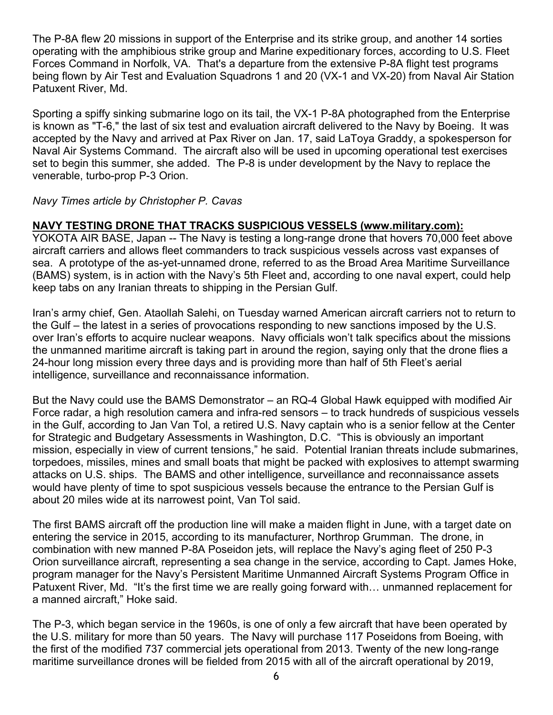The P-8A flew 20 missions in support of the Enterprise and its strike group, and another 14 sorties operating with the amphibious strike group and Marine expeditionary forces, according to U.S. Fleet Forces Command in Norfolk, VA. That's a departure from the extensive P-8A flight test programs being flown by Air Test and Evaluation Squadrons 1 and 20 (VX-1 and VX-20) from Naval Air Station Patuxent River, Md.

Sporting a spiffy sinking submarine logo on its tail, the VX-1 P-8A photographed from the Enterprise is known as "T-6," the last of six test and evaluation aircraft delivered to the Navy by Boeing. It was accepted by the Navy and arrived at Pax River on Jan. 17, said LaToya Graddy, a spokesperson for Naval Air Systems Command. The aircraft also will be used in upcoming operational test exercises set to begin this summer, she added. The P-8 is under development by the Navy to replace the venerable, turbo-prop P-3 Orion.

## *Navy Times article by Christopher P. Cavas*

## **NAVY TESTING DRONE THAT TRACKS SUSPICIOUS VESSELS (www.military.com):**

YOKOTA AIR BASE, Japan -- The Navy is testing a long-range drone that hovers 70,000 feet above aircraft carriers and allows fleet commanders to track suspicious vessels across vast expanses of sea. A prototype of the as-yet-unnamed drone, referred to as the Broad Area Maritime Surveillance (BAMS) system, is in action with the Navy's 5th Fleet and, according to one naval expert, could help keep tabs on any Iranian threats to shipping in the Persian Gulf.

Iran's army chief, Gen. Ataollah Salehi, on Tuesday warned American aircraft carriers not to return to the Gulf – the latest in a series of provocations responding to new sanctions imposed by the U.S. over Iran's efforts to acquire nuclear weapons. Navy officials won't talk specifics about the missions the unmanned maritime aircraft is taking part in around the region, saying only that the drone flies a 24-hour long mission every three days and is providing more than half of 5th Fleet's aerial intelligence, surveillance and reconnaissance information.

But the Navy could use the BAMS Demonstrator – an RQ-4 Global Hawk equipped with modified Air Force radar, a high resolution camera and infra-red sensors – to track hundreds of suspicious vessels in the Gulf, according to Jan Van Tol, a retired U.S. Navy captain who is a senior fellow at the Center for Strategic and Budgetary Assessments in Washington, D.C. "This is obviously an important mission, especially in view of current tensions," he said. Potential Iranian threats include submarines, torpedoes, missiles, mines and small boats that might be packed with explosives to attempt swarming attacks on U.S. ships. The BAMS and other intelligence, surveillance and reconnaissance assets would have plenty of time to spot suspicious vessels because the entrance to the Persian Gulf is about 20 miles wide at its narrowest point, Van Tol said.

The first BAMS aircraft off the production line will make a maiden flight in June, with a target date on entering the service in 2015, according to its manufacturer, Northrop Grumman. The drone, in combination with new manned P-8A Poseidon jets, will replace the Navy's aging fleet of 250 P-3 Orion surveillance aircraft, representing a sea change in the service, according to Capt. James Hoke, program manager for the Navy's Persistent Maritime Unmanned Aircraft Systems Program Office in Patuxent River, Md. "It's the first time we are really going forward with… unmanned replacement for a manned aircraft," Hoke said.

The P-3, which began service in the 1960s, is one of only a few aircraft that have been operated by the U.S. military for more than 50 years. The Navy will purchase 117 Poseidons from Boeing, with the first of the modified 737 commercial jets operational from 2013. Twenty of the new long-range maritime surveillance drones will be fielded from 2015 with all of the aircraft operational by 2019,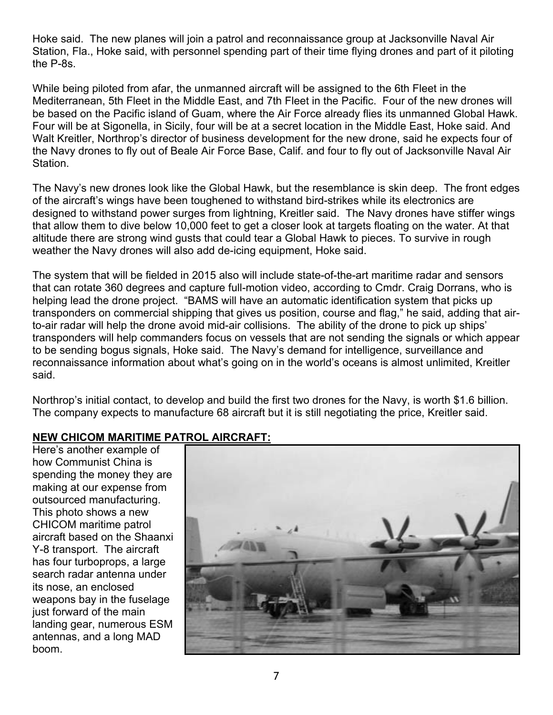Hoke said. The new planes will join a patrol and reconnaissance group at Jacksonville Naval Air Station, Fla., Hoke said, with personnel spending part of their time flying drones and part of it piloting the P-8s.

While being piloted from afar, the unmanned aircraft will be assigned to the 6th Fleet in the Mediterranean, 5th Fleet in the Middle East, and 7th Fleet in the Pacific. Four of the new drones will be based on the Pacific island of Guam, where the Air Force already flies its unmanned Global Hawk. Four will be at Sigonella, in Sicily, four will be at a secret location in the Middle East, Hoke said. And Walt Kreitler, Northrop's director of business development for the new drone, said he expects four of the Navy drones to fly out of Beale Air Force Base, Calif. and four to fly out of Jacksonville Naval Air Station.

The Navy's new drones look like the Global Hawk, but the resemblance is skin deep. The front edges of the aircraft's wings have been toughened to withstand bird-strikes while its electronics are designed to withstand power surges from lightning, Kreitler said. The Navy drones have stiffer wings that allow them to dive below 10,000 feet to get a closer look at targets floating on the water. At that altitude there are strong wind gusts that could tear a Global Hawk to pieces. To survive in rough weather the Navy drones will also add de-icing equipment, Hoke said.

The system that will be fielded in 2015 also will include state-of-the-art maritime radar and sensors that can rotate 360 degrees and capture full-motion video, according to Cmdr. Craig Dorrans, who is helping lead the drone project. "BAMS will have an automatic identification system that picks up transponders on commercial shipping that gives us position, course and flag," he said, adding that airto-air radar will help the drone avoid mid-air collisions. The ability of the drone to pick up ships' transponders will help commanders focus on vessels that are not sending the signals or which appear to be sending bogus signals, Hoke said. The Navy's demand for intelligence, surveillance and reconnaissance information about what's going on in the world's oceans is almost unlimited, Kreitler said.

Northrop's initial contact, to develop and build the first two drones for the Navy, is worth \$1.6 billion. The company expects to manufacture 68 aircraft but it is still negotiating the price, Kreitler said.

#### **NEW CHICOM MARITIME PATROL AIRCRAFT:**

Here's another example of how Communist China is spending the money they are making at our expense from outsourced manufacturing. This photo shows a new CHICOM maritime patrol aircraft based on the Shaanxi Y-8 transport. The aircraft has four turboprops, a large search radar antenna under its nose, an enclosed weapons bay in the fuselage just forward of the main landing gear, numerous ESM antennas, and a long MAD boom.

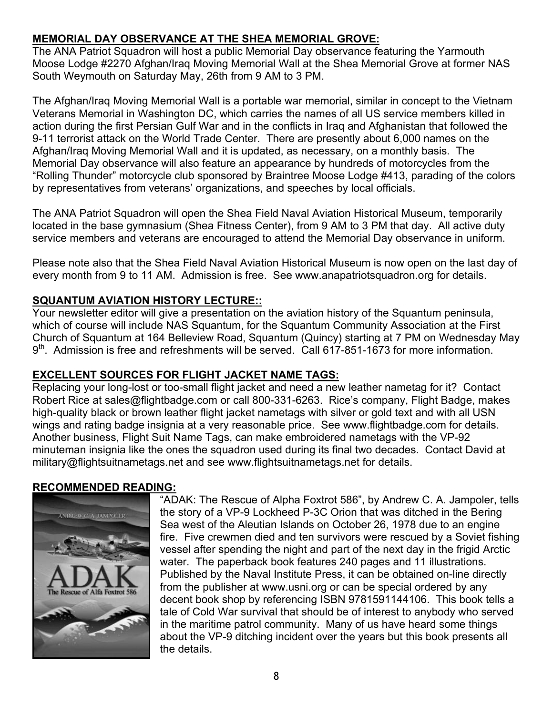# **MEMORIAL DAY OBSERVANCE AT THE SHEA MEMORIAL GROVE:**

The ANA Patriot Squadron will host a public Memorial Day observance featuring the Yarmouth Moose Lodge #2270 Afghan/Iraq Moving Memorial Wall at the Shea Memorial Grove at former NAS South Weymouth on Saturday May, 26th from 9 AM to 3 PM.

The Afghan/Iraq Moving Memorial Wall is a portable war memorial, similar in concept to the Vietnam Veterans Memorial in Washington DC, which carries the names of all US service members killed in action during the first Persian Gulf War and in the conflicts in Iraq and Afghanistan that followed the 9-11 terrorist attack on the World Trade Center. There are presently about 6,000 names on the Afghan/Iraq Moving Memorial Wall and it is updated, as necessary, on a monthly basis. The Memorial Day observance will also feature an appearance by hundreds of motorcycles from the "Rolling Thunder" motorcycle club sponsored by Braintree Moose Lodge #413, parading of the colors by representatives from veterans' organizations, and speeches by local officials.

The ANA Patriot Squadron will open the Shea Field Naval Aviation Historical Museum, temporarily located in the base gymnasium (Shea Fitness Center), from 9 AM to 3 PM that day. All active duty service members and veterans are encouraged to attend the Memorial Day observance in uniform.

Please note also that the Shea Field Naval Aviation Historical Museum is now open on the last day of every month from 9 to 11 AM. Admission is free. See www.anapatriotsquadron.org for details.

# **SQUANTUM AVIATION HISTORY LECTURE::**

Your newsletter editor will give a presentation on the aviation history of the Squantum peninsula, which of course will include NAS Squantum, for the Squantum Community Association at the First Church of Squantum at 164 Belleview Road, Squantum (Quincy) starting at 7 PM on Wednesday May 9<sup>th</sup>. Admission is free and refreshments will be served. Call 617-851-1673 for more information.

# **EXCELLENT SOURCES FOR FLIGHT JACKET NAME TAGS:**

Replacing your long-lost or too-small flight jacket and need a new leather nametag for it? Contact Robert Rice at sales@flightbadge.com or call 800-331-6263. Rice's company, Flight Badge, makes high-quality black or brown leather flight jacket nametags with silver or gold text and with all USN wings and rating badge insignia at a very reasonable price. See www.flightbadge.com for details. Another business, Flight Suit Name Tags, can make embroidered nametags with the VP-92 minuteman insignia like the ones the squadron used during its final two decades. Contact David at military@flightsuitnametags.net and see www.flightsuitnametags.net for details.

# **RECOMMENDED READING:**



"ADAK: The Rescue of Alpha Foxtrot 586", by Andrew C. A. Jampoler, tells the story of a VP-9 Lockheed P-3C Orion that was ditched in the Bering Sea west of the Aleutian Islands on October 26, 1978 due to an engine fire. Five crewmen died and ten survivors were rescued by a Soviet fishing vessel after spending the night and part of the next day in the frigid Arctic water. The paperback book features 240 pages and 11 illustrations. Published by the Naval Institute Press, it can be obtained on-line directly from the publisher at www.usni.org or can be special ordered by any decent book shop by referencing ISBN 9781591144106. This book tells a tale of Cold War survival that should be of interest to anybody who served in the maritime patrol community. Many of us have heard some things about the VP-9 ditching incident over the years but this book presents all the details.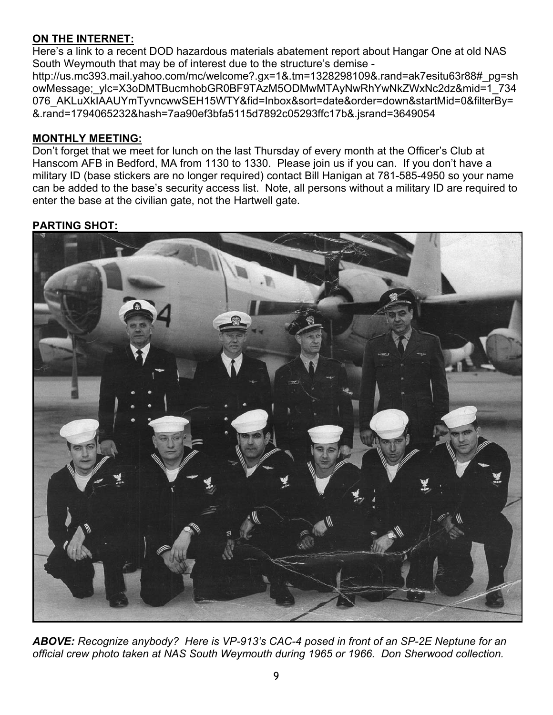# **ON THE INTERNET:**

Here's a link to a recent DOD hazardous materials abatement report about Hangar One at old NAS South Weymouth that may be of interest due to the structure's demise http://us.mc393.mail.yahoo.com/mc/welcome?.gx=1&.tm=1328298109&.rand=ak7esitu63r88#\_pg=sh owMessage; ylc=X3oDMTBucmhobGR0BF9TAzM5ODMwMTAyNwRhYwNkZWxNc2dz&mid=1\_734 076\_AKLuXkIAAUYmTyvncwwSEH15WTY&fid=Inbox&sort=date&order=down&startMid=0&filterBy= &.rand=1794065232&hash=7aa90ef3bfa5115d7892c05293ffc17b&.jsrand=3649054

# **MONTHLY MEETING:**

Don't forget that we meet for lunch on the last Thursday of every month at the Officer's Club at Hanscom AFB in Bedford, MA from 1130 to 1330. Please join us if you can. If you don't have a military ID (base stickers are no longer required) contact Bill Hanigan at 781-585-4950 so your name can be added to the base's security access list. Note, all persons without a military ID are required to enter the base at the civilian gate, not the Hartwell gate.

# **PARTING SHOT:**



*ABOVE: Recognize anybody? Here is VP-913's CAC-4 posed in front of an SP-2E Neptune for an official crew photo taken at NAS South Weymouth during 1965 or 1966. Don Sherwood collection.*